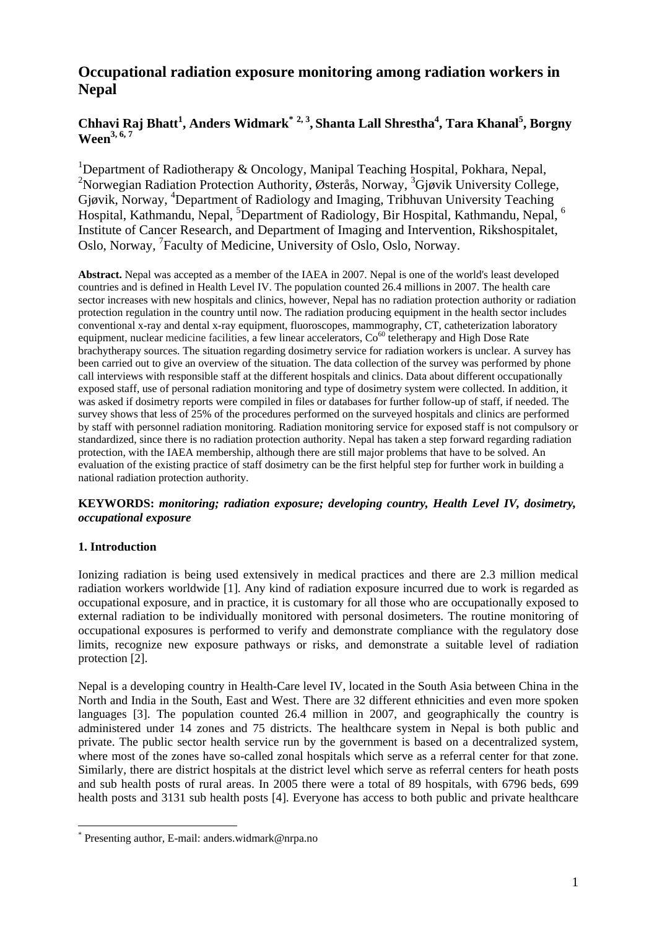# **Occupational radiation exposure monitoring among radiation workers in Nepal**

# **Chhavi Raj Bhatt<sup>1</sup> , Anders Widmark\* 2, 3, Shanta Lall Shrestha4 , Tara Khanal<sup>5</sup> , Borgny Ween3, 6, 7**

<sup>1</sup>Department of Radiotherapy & Oncology, Manipal Teaching Hospital, Pokhara, Nepal, <sup>2</sup>Norwegian Radiation Protection Authority, Østerås, Norway, <sup>3</sup>Gjøvik University College, Gjøvik, Norway, <sup>4</sup>Department of Radiology and Imaging, Tribhuvan University Teaching Hospital, Kathmandu, Nepal, <sup>5</sup>Department of Radiology, Bir Hospital, Kathmandu, Nepal, <sup>6</sup> Institute of Cancer Research, and Department of Imaging and Intervention, Rikshospitalet, Oslo, Norway, <sup>7</sup>Faculty of Medicine, University of Oslo, Oslo, Norway.

**Abstract.** Nepal was accepted as a member of the IAEA in 2007. Nepal is one of the world's least developed countries and is defined in Health Level IV. The population counted 26.4 millions in 2007. The health care sector increases with new hospitals and clinics, however, Nepal has no radiation protection authority or radiation protection regulation in the country until now. The radiation producing equipment in the health sector includes conventional x-ray and dental x-ray equipment, fluoroscopes, mammography, CT, catheterization laboratory equipment, nuclear medicine facilities, a few linear accelerators,  $Co<sup>60</sup>$  teletherapy and High Dose Rate brachytherapy sources. The situation regarding dosimetry service for radiation workers is unclear. A survey has been carried out to give an overview of the situation. The data collection of the survey was performed by phone call interviews with responsible staff at the different hospitals and clinics. Data about different occupationally exposed staff, use of personal radiation monitoring and type of dosimetry system were collected. In addition, it was asked if dosimetry reports were compiled in files or databases for further follow-up of staff, if needed. The survey shows that less of 25% of the procedures performed on the surveyed hospitals and clinics are performed by staff with personnel radiation monitoring. Radiation monitoring service for exposed staff is not compulsory or standardized, since there is no radiation protection authority. Nepal has taken a step forward regarding radiation protection, with the IAEA membership, although there are still major problems that have to be solved. An evaluation of the existing practice of staff dosimetry can be the first helpful step for further work in building a national radiation protection authority.

**KEYWORDS:** *monitoring; radiation exposure; developing country, Health Level IV, dosimetry, occupational exposure*

# **1. Introduction**

<u>.</u>

Ionizing radiation is being used extensively in medical practices and there are 2.3 million medical radiation workers worldwide [1]. Any kind of radiation exposure incurred due to work is regarded as occupational exposure, and in practice, it is customary for all those who are occupationally exposed to external radiation to be individually monitored with personal dosimeters. The routine monitoring of occupational exposures is performed to verify and demonstrate compliance with the regulatory dose limits, recognize new exposure pathways or risks, and demonstrate a suitable level of radiation protection [2].

Nepal is a developing country in Health-Care level IV, located in the South Asia between China in the North and India in the South, East and West. There are 32 different ethnicities and even more spoken languages [3]. The population counted 26.4 million in 2007, and geographically the country is administered under 14 zones and 75 districts. The healthcare system in Nepal is both public and private. The public sector health service run by the government is based on a decentralized system, where most of the zones have so-called zonal hospitals which serve as a referral center for that zone. Similarly, there are district hospitals at the district level which serve as referral centers for heath posts and sub health posts of rural areas. In 2005 there were a total of 89 hospitals, with 6796 beds, 699 health posts and 3131 sub health posts [4]. Everyone has access to both public and private healthcare

<sup>\*</sup> Presenting author, E-mail: anders.widmark@nrpa.no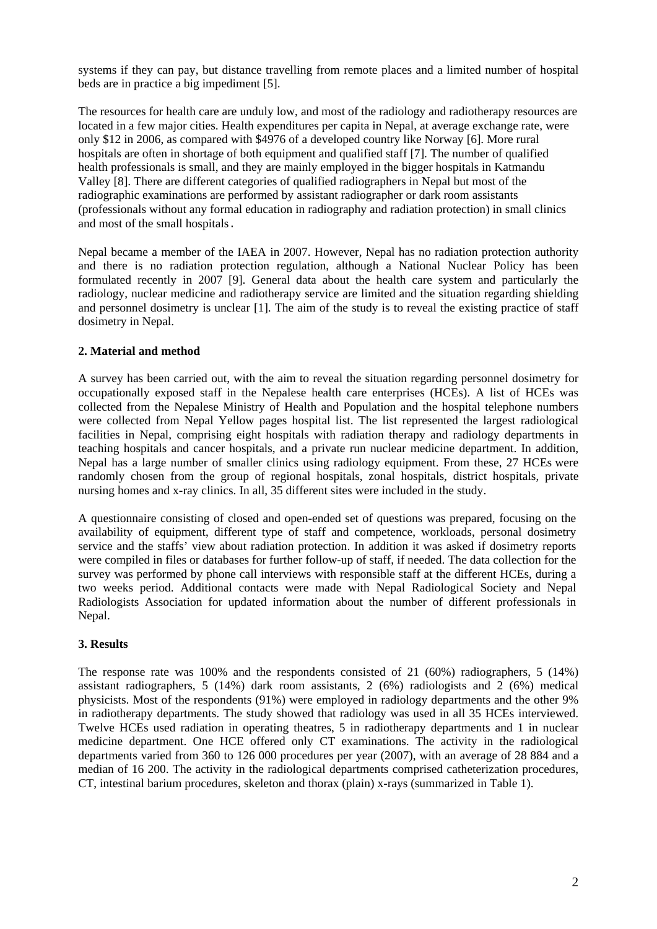systems if they can pay, but distance travelling from remote places and a limited number of hospital beds are in practice a big impediment [5].

The resources for health care are unduly low, and most of the radiology and radiotherapy resources are located in a few major cities. Health expenditures per capita in Nepal, at average exchange rate, were only \$12 in 2006, as compared with \$4976 of a developed country like Norway [6]. More rural hospitals are often in shortage of both equipment and qualified staff [7]. The number of qualified health professionals is small, and they are mainly employed in the bigger hospitals in Katmandu Valley [8]. There are different categories of qualified radiographers in Nepal but most of the radiographic examinations are performed by assistant radiographer or dark room assistants (professionals without any formal education in radiography and radiation protection) in small clinics and most of the small hospitals.

Nepal became a member of the IAEA in 2007. However, Nepal has no radiation protection authority and there is no radiation protection regulation, although a National Nuclear Policy has been formulated recently in 2007 [9]. General data about the health care system and particularly the radiology, nuclear medicine and radiotherapy service are limited and the situation regarding shielding and personnel dosimetry is unclear [1]. The aim of the study is to reveal the existing practice of staff dosimetry in Nepal.

## **2. Material and method**

A survey has been carried out, with the aim to reveal the situation regarding personnel dosimetry for occupationally exposed staff in the Nepalese health care enterprises (HCEs). A list of HCEs was collected from the Nepalese Ministry of Health and Population and the hospital telephone numbers were collected from Nepal Yellow pages hospital list. The list represented the largest radiological facilities in Nepal, comprising eight hospitals with radiation therapy and radiology departments in teaching hospitals and cancer hospitals, and a private run nuclear medicine department. In addition, Nepal has a large number of smaller clinics using radiology equipment. From these, 27 HCEs were randomly chosen from the group of regional hospitals, zonal hospitals, district hospitals, private nursing homes and x-ray clinics. In all, 35 different sites were included in the study.

A questionnaire consisting of closed and open-ended set of questions was prepared, focusing on the availability of equipment, different type of staff and competence, workloads, personal dosimetry service and the staffs' view about radiation protection. In addition it was asked if dosimetry reports were compiled in files or databases for further follow-up of staff, if needed. The data collection for the survey was performed by phone call interviews with responsible staff at the different HCEs, during a two weeks period. Additional contacts were made with Nepal Radiological Society and Nepal Radiologists Association for updated information about the number of different professionals in Nepal.

#### **3. Results**

The response rate was 100% and the respondents consisted of 21 (60%) radiographers, 5 (14%) assistant radiographers, 5 (14%) dark room assistants, 2 (6%) radiologists and 2 (6%) medical physicists. Most of the respondents (91%) were employed in radiology departments and the other 9% in radiotherapy departments. The study showed that radiology was used in all 35 HCEs interviewed. Twelve HCEs used radiation in operating theatres, 5 in radiotherapy departments and 1 in nuclear medicine department. One HCE offered only CT examinations. The activity in the radiological departments varied from 360 to 126 000 procedures per year (2007), with an average of 28 884 and a median of 16 200. The activity in the radiological departments comprised catheterization procedures, CT, intestinal barium procedures, skeleton and thorax (plain) x-rays (summarized in Table 1).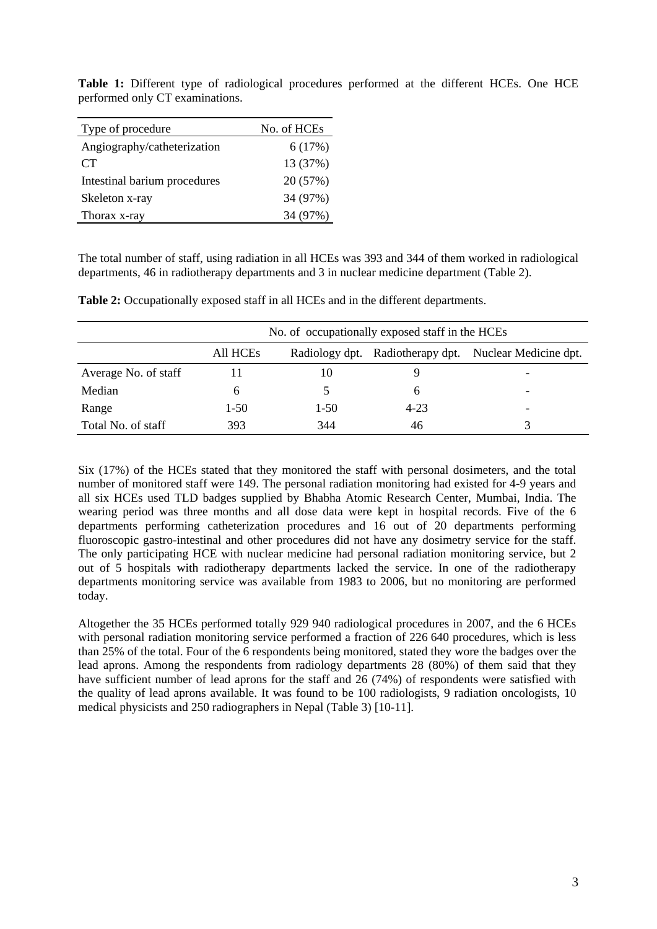| Type of procedure            | No. of HCEs |
|------------------------------|-------------|
| Angiography/catheterization  | 6(17%)      |
| CT                           | 13 (37%)    |
| Intestinal barium procedures | 20 (57%)    |
| Skeleton x-ray               | 34 (97%)    |
| Thorax x-ray                 | 34 (97%)    |

**Table 1:** Different type of radiological procedures performed at the different HCEs. One HCE performed only CT examinations.

The total number of staff, using radiation in all HCEs was 393 and 344 of them worked in radiological departments, 46 in radiotherapy departments and 3 in nuclear medicine department (Table 2).

|                      | No. of occupationally exposed staff in the HCEs |          |          |                                                        |
|----------------------|-------------------------------------------------|----------|----------|--------------------------------------------------------|
|                      | All HCEs                                        |          |          | Radiology dpt. Radiotherapy dpt. Nuclear Medicine dpt. |
| Average No. of staff |                                                 | 10       |          |                                                        |
| Median               |                                                 |          | h        |                                                        |
| Range                | $1-50$                                          | $1 - 50$ | $4 - 23$ |                                                        |
| Total No. of staff   | 393                                             | 344      | 46       |                                                        |

**Table 2:** Occupationally exposed staff in all HCEs and in the different departments.

Six (17%) of the HCEs stated that they monitored the staff with personal dosimeters, and the total number of monitored staff were 149. The personal radiation monitoring had existed for 4-9 years and all six HCEs used TLD badges supplied by Bhabha Atomic Research Center, Mumbai, India. The wearing period was three months and all dose data were kept in hospital records. Five of the 6 departments performing catheterization procedures and 16 out of 20 departments performing fluoroscopic gastro-intestinal and other procedures did not have any dosimetry service for the staff. The only participating HCE with nuclear medicine had personal radiation monitoring service, but 2 out of 5 hospitals with radiotherapy departments lacked the service. In one of the radiotherapy departments monitoring service was available from 1983 to 2006, but no monitoring are performed today.

Altogether the 35 HCEs performed totally 929 940 radiological procedures in 2007, and the 6 HCEs with personal radiation monitoring service performed a fraction of 226 640 procedures, which is less than 25% of the total. Four of the 6 respondents being monitored, stated they wore the badges over the lead aprons. Among the respondents from radiology departments 28 (80%) of them said that they have sufficient number of lead aprons for the staff and 26 (74%) of respondents were satisfied with the quality of lead aprons available. It was found to be 100 radiologists, 9 radiation oncologists, 10 medical physicists and 250 radiographers in Nepal (Table 3) [10-11].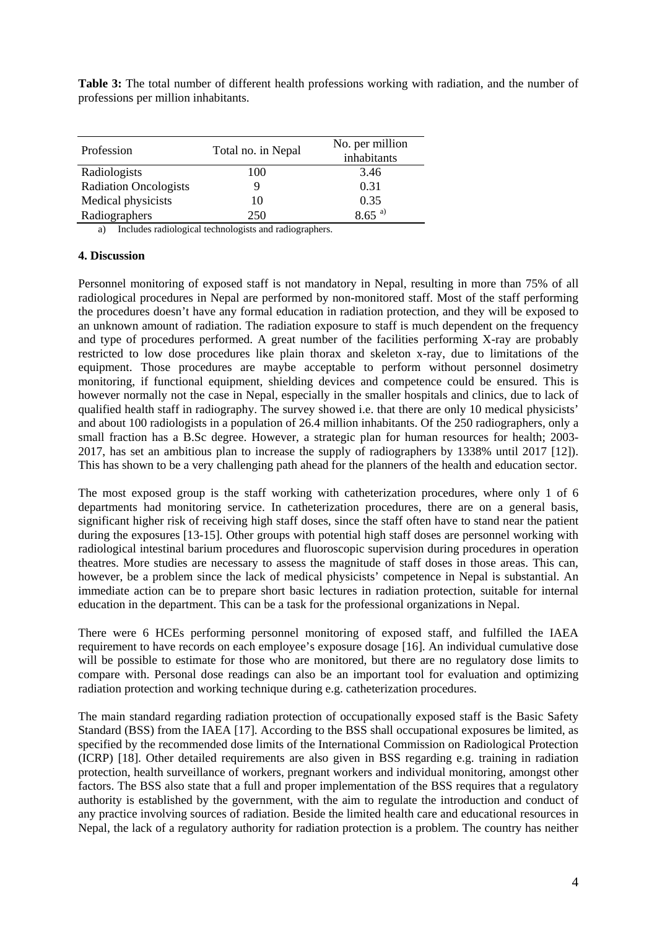**Table 3:** The total number of different health professions working with radiation, and the number of professions per million inhabitants.

| Profession                   | Total no. in Nepal | No. per million<br>inhabitants |
|------------------------------|--------------------|--------------------------------|
| Radiologists                 | 100                | 3.46                           |
| <b>Radiation Oncologists</b> |                    | 0.31                           |
| Medical physicists           | 10                 | 0.35                           |
| Radiographers                | 250                | $8.65^{a}$                     |

a) Includes radiological technologists and radiographers.

#### **4. Discussion**

Personnel monitoring of exposed staff is not mandatory in Nepal, resulting in more than 75% of all radiological procedures in Nepal are performed by non-monitored staff. Most of the staff performing the procedures doesn't have any formal education in radiation protection, and they will be exposed to an unknown amount of radiation. The radiation exposure to staff is much dependent on the frequency and type of procedures performed. A great number of the facilities performing X-ray are probably restricted to low dose procedures like plain thorax and skeleton x-ray, due to limitations of the equipment. Those procedures are maybe acceptable to perform without personnel dosimetry monitoring, if functional equipment, shielding devices and competence could be ensured. This is however normally not the case in Nepal, especially in the smaller hospitals and clinics, due to lack of qualified health staff in radiography. The survey showed i.e. that there are only 10 medical physicists' and about 100 radiologists in a population of 26.4 million inhabitants. Of the 250 radiographers, only a small fraction has a B.Sc degree. However, a strategic plan for human resources for health; 2003- 2017, has set an ambitious plan to increase the supply of radiographers by 1338% until 2017 [12]). This has shown to be a very challenging path ahead for the planners of the health and education sector.

The most exposed group is the staff working with catheterization procedures, where only 1 of 6 departments had monitoring service. In catheterization procedures, there are on a general basis, significant higher risk of receiving high staff doses, since the staff often have to stand near the patient during the exposures [13-15]. Other groups with potential high staff doses are personnel working with radiological intestinal barium procedures and fluoroscopic supervision during procedures in operation theatres. More studies are necessary to assess the magnitude of staff doses in those areas. This can, however, be a problem since the lack of medical physicists' competence in Nepal is substantial. An immediate action can be to prepare short basic lectures in radiation protection, suitable for internal education in the department. This can be a task for the professional organizations in Nepal.

There were 6 HCEs performing personnel monitoring of exposed staff, and fulfilled the IAEA requirement to have records on each employee's exposure dosage [16]. An individual cumulative dose will be possible to estimate for those who are monitored, but there are no regulatory dose limits to compare with. Personal dose readings can also be an important tool for evaluation and optimizing radiation protection and working technique during e.g. catheterization procedures.

The main standard regarding radiation protection of occupationally exposed staff is the Basic Safety Standard (BSS) from the IAEA [17]. According to the BSS shall occupational exposures be limited, as specified by the recommended dose limits of the International Commission on Radiological Protection (ICRP) [18]. Other detailed requirements are also given in BSS regarding e.g. training in radiation protection, health surveillance of workers, pregnant workers and individual monitoring, amongst other factors. The BSS also state that a full and proper implementation of the BSS requires that a regulatory authority is established by the government, with the aim to regulate the introduction and conduct of any practice involving sources of radiation. Beside the limited health care and educational resources in Nepal, the lack of a regulatory authority for radiation protection is a problem. The country has neither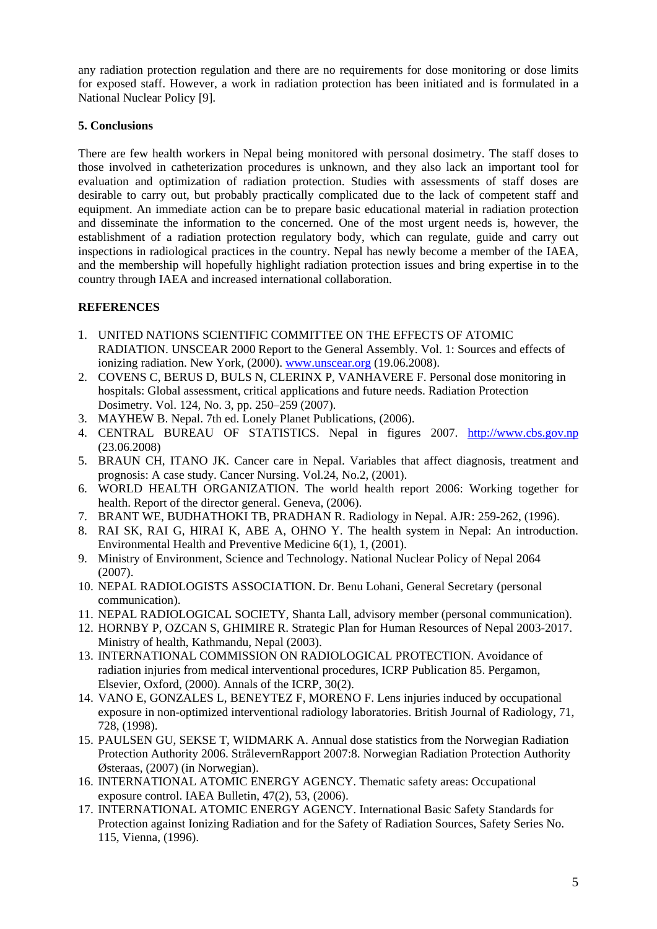any radiation protection regulation and there are no requirements for dose monitoring or dose limits for exposed staff. However, a work in radiation protection has been initiated and is formulated in a National Nuclear Policy [9].

# **5. Conclusions**

There are few health workers in Nepal being monitored with personal dosimetry. The staff doses to those involved in catheterization procedures is unknown, and they also lack an important tool for evaluation and optimization of radiation protection. Studies with assessments of staff doses are desirable to carry out, but probably practically complicated due to the lack of competent staff and equipment. An immediate action can be to prepare basic educational material in radiation protection and disseminate the information to the concerned. One of the most urgent needs is, however, the establishment of a radiation protection regulatory body, which can regulate, guide and carry out inspections in radiological practices in the country. Nepal has newly become a member of the IAEA, and the membership will hopefully highlight radiation protection issues and bring expertise in to the country through IAEA and increased international collaboration.

## **REFERENCES**

- 1. UNITED NATIONS SCIENTIFIC COMMITTEE ON THE EFFECTS OF ATOMIC RADIATION. UNSCEAR 2000 Report to the General Assembly. Vol. 1: Sources and effects of ionizing radiation. New York, (2000). www.unscear.org (19.06.2008).
- 2. COVENS C, BERUS D, BULS N, CLERINX P, VANHAVERE F. Personal dose monitoring in hospitals: Global assessment, critical applications and future needs. Radiation Protection Dosimetry. Vol. 124, No. 3, pp. 250–259 (2007).
- 3. MAYHEW B. Nepal. 7th ed. Lonely Planet Publications, (2006).
- 4. CENTRAL BUREAU OF STATISTICS. Nepal in figures 2007. http://www.cbs.gov.np (23.06.2008)
- 5. BRAUN CH, ITANO JK. Cancer care in Nepal. Variables that affect diagnosis, treatment and prognosis: A case study. Cancer Nursing. Vol.24, No.2, (2001).
- 6. WORLD HEALTH ORGANIZATION. The world health report 2006: Working together for health. Report of the director general. Geneva,  $(2006)$ .
- 7. BRANT WE, BUDHATHOKI TB, PRADHAN R. Radiology in Nepal. AJR: 259-262, (1996).
- 8. RAI SK, RAI G, HIRAI K, ABE A, OHNO Y. The health system in Nepal: An introduction. Environmental Health and Preventive Medicine 6(1), 1, (2001).
- 9. Ministry of Environment, Science and Technology. National Nuclear Policy of Nepal 2064 (2007).
- 10. NEPAL RADIOLOGISTS ASSOCIATION. Dr. Benu Lohani, General Secretary (personal communication).
- 11. NEPAL RADIOLOGICAL SOCIETY, Shanta Lall, advisory member (personal communication).
- 12. HORNBY P, OZCAN S, GHIMIRE R. Strategic Plan for Human Resources of Nepal 2003-2017. Ministry of health, Kathmandu, Nepal (2003).
- 13. INTERNATIONAL COMMISSION ON RADIOLOGICAL PROTECTION. Avoidance of radiation injuries from medical interventional procedures, ICRP Publication 85. Pergamon, Elsevier, Oxford, (2000). Annals of the ICRP, 30(2).
- 14. VANO E, GONZALES L, BENEYTEZ F, MORENO F. Lens injuries induced by occupational exposure in non-optimized interventional radiology laboratories. British Journal of Radiology, 71, 728, (1998).
- 15. PAULSEN GU, SEKSE T, WIDMARK A. Annual dose statistics from the Norwegian Radiation Protection Authority 2006. StrålevernRapport 2007:8. Norwegian Radiation Protection Authority Østeraas, (2007) (in Norwegian).
- 16. INTERNATIONAL ATOMIC ENERGY AGENCY. Thematic safety areas: Occupational exposure control. IAEA Bulletin, 47(2), 53, (2006).
- 17. INTERNATIONAL ATOMIC ENERGY AGENCY. International Basic Safety Standards for Protection against Ionizing Radiation and for the Safety of Radiation Sources, Safety Series No. 115, Vienna, (1996).